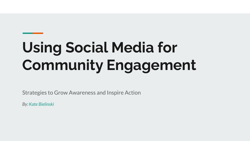# **Using Social Media for Community Engagement**

Strategies to Grow Awareness and Inspire Action

*By: Kate Bielinski*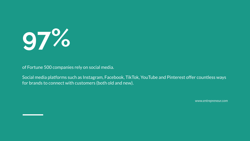

of Fortune 500 companies rely on social media.

Social media platforms such as Instagram, Facebook, TikTok, YouTube and Pinterest offer countless ways for brands to connect with customers (both old and new).

*www.entrepreneur.com*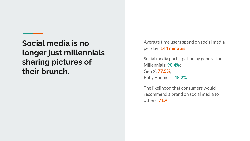**Social media is no longer just millennials sharing pictures of their brunch.**

Average time users spend on social media per day: **144 minutes**

Social media participation by generation: Millennials: **90.4%**; Gen X: **77.5%**; Baby Boomers: **48.2%**

The likelihood that consumers would recommend a brand on social media to others: **71%**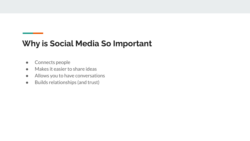#### **Why is Social Media So Important**

- Connects people
- Makes it easier to share ideas
- Allows you to have conversations
- Builds relationships (and trust)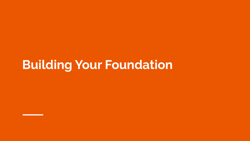## **Building Your Foundation**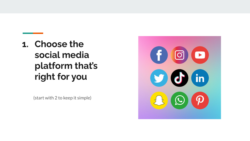### **1. Choose the social media platform that's right for you**

(start with 2 to keep it simple)

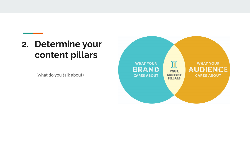#### **Determine your 2.content pillars**

(what do you talk about)

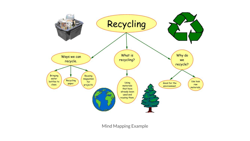

Mind Mapping Example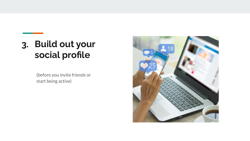### **Build out your 3.social profile**

(before you invite friends or start being active)

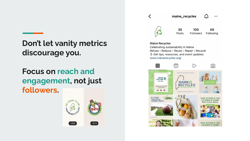**Don't let vanity metrics discourage you.**

#### **Focus on reach and engagement, not just followers.**



maine recycles

 $\cdots$ 



**Maine Recycles** 

 $\overline{\left( \right. }%$ 

Celebrating sustainability in Maine Refuse - Reduce - Reuse - Repair - Recycle  $\sqrt{1}$  Get tips, resources, and event updates: www.mainerecycles.org/

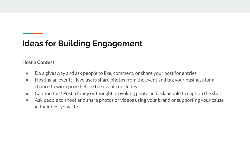#### **Host a Contest:**

- Do a giveaway and ask people to like, comment, or share your post for entries
- Hosting an event? Have users share photos from the event and tag your business for a chance to win a prize before the event concludes
- Caption this! Post a funny or thought provoking photo and ask people to caption the shot
- Ask people to shoot and share photos or videos using your brand or supporting your cause in their everyday life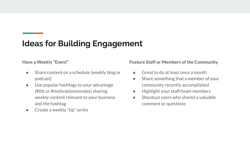**Have a Weekly "Event"**

- Share content on a schedule (weekly blog or podcast)
- Use popular hashtags to your advantage (#tbt or #motivationmonday) sharing weekly content relevant to your business and the hashtag
- Create a weekly "tip" series

**Feature Staff or Members of the Community**

- Great to do at least once a month
- Share something that a member of your community recently accomplished
- Highlight your staff/team members
- $\bullet$  Shoutout users who shared a valuable comment or questions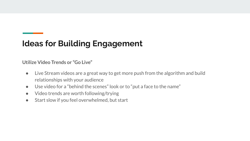**Utilize Video Trends or "Go Live"**

- Live Stream videos are a great way to get more push from the algorithm and build relationships with your audience
- Use video for a "behind the scenes" look or to "put a face to the name"
- Video trends are worth following/trying
- Start slow if you feel overwhelmed, but start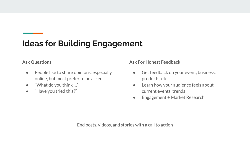#### **Ask Questions**

- People like to share opinions, especially online, but most prefer to be asked
- "What do you think  $\ldots$ "
- "Have you tried this?"

**Ask For Honest Feedback**

- Get feedback on your event, business, products, etc
- Learn how your audience feels about current events, trends
- Engagement + Market Research

End posts, videos, and stories with a call to action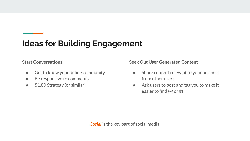**Start Conversations**

- Get to know your online community
- Be responsive to comments
- \$1.80 Strategy (or similar)

**Seek Out User Generated Content**

- Share content relevant to your business from other users
- Ask users to post and tag you to make it easier to find (@ or #)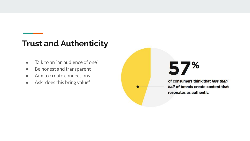#### **Trust and Authenticity**

- Talk to an "an audience of one"
- Be honest and transparent
- Aim to create connections
- Ask "does this bring value"

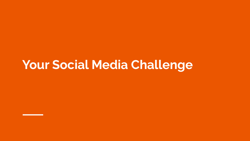### **Your Social Media Challenge**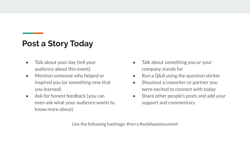#### **Post a Story Today**

- Talk about your day (tell your audience about this event)
- Mention someone who helped or inspired you (or something new that you learned)
- Ask for honest feedback (you can even ask what your audience wants to know more about)
- Talk about something you or your company stands for
- Run a Q&A using the question sticker
- Shoutout a coworker or partner you were excited to connect with today
- Share other people's posts and add your support and commentary

Use the following hashtags: #mrra #solidwastesummit